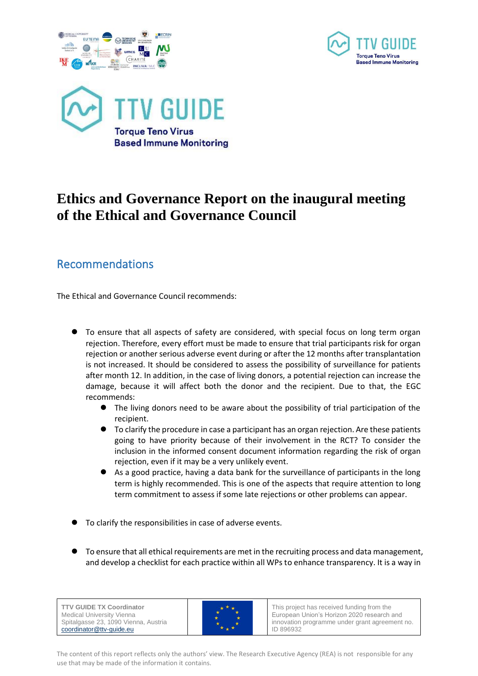





## **Ethics and Governance Report on the inaugural meeting of the Ethical and Governance Council**

## Recommendations

The Ethical and Governance Council recommends:

- ⚫ To ensure that all aspects of safety are considered, with special focus on long term organ rejection. Therefore, every effort must be made to ensure that trial participants risk for organ rejection or another serious adverse event during or after the 12 months after transplantation is not increased. It should be considered to assess the possibility of surveillance for patients after month 12. In addition, in the case of living donors, a potential rejection can increase the damage, because it will affect both the donor and the recipient. Due to that, the EGC recommends:
	- ⚫ The living donors need to be aware about the possibility of trial participation of the recipient.
	- ⚫ To clarify the procedure in case a participant has an organ rejection. Are these patients going to have priority because of their involvement in the RCT? To consider the inclusion in the informed consent document information regarding the risk of organ rejection, even if it may be a very unlikely event.
	- ⚫ As a good practice, having a data bank for the surveillance of participants in the long term is highly recommended. This is one of the aspects that require attention to long term commitment to assess if some late rejections or other problems can appear.
- ⚫ To clarify the responsibilities in case of adverse events.
- ⚫ To ensure that all ethical requirements are met in the recruiting process and data management, and develop a checklist for each practice within all WPs to enhance transparency. It is a way in



This project has received funding from the European Union's Horizon 2020 research and innovation programme under grant agreement no. ID 896932